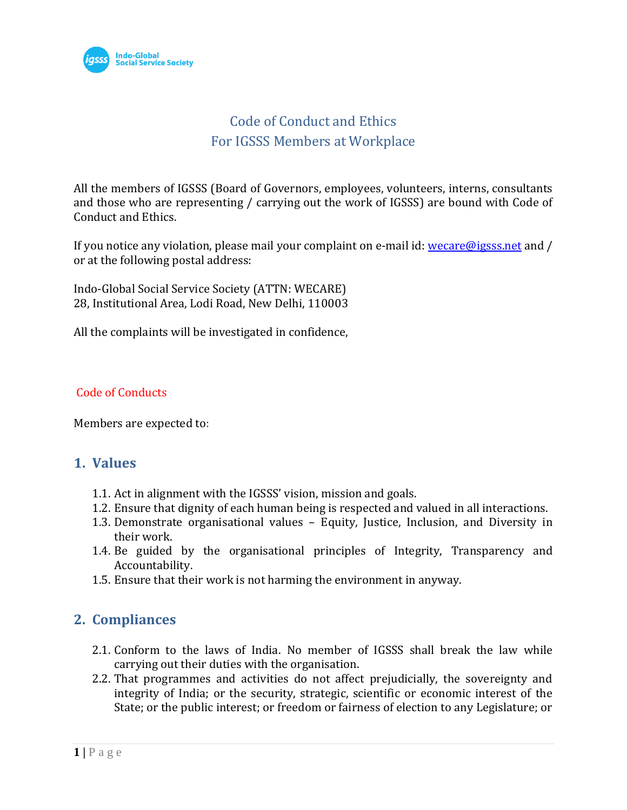

# Code of Conduct and Ethics For IGSSS Members at Workplace

All the members of IGSSS (Board of Governors, employees, volunteers, interns, consultants and those who are representing / carrying out the work of IGSSS) are bound with Code of Conduct and Ethics.

If you notice any violation, please mail your complaint on e-mail id: [wecare@igsss.net](mailto:wecare@igsss.net) and / or at the following postal address:

Indo-Global Social Service Society (ATTN: WECARE) 28, Institutional Area, Lodi Road, New Delhi, 110003

All the complaints will be investigated in confidence,

### Code of Conducts

Members are expected to:

### **1. Values**

- 1.1. Act in alignment with the IGSSS' vision, mission and goals.
- 1.2. Ensure that dignity of each human being is respected and valued in all interactions.
- 1.3. Demonstrate organisational values Equity, Justice, Inclusion, and Diversity in their work.
- 1.4. Be guided by the organisational principles of Integrity, Transparency and Accountability.
- 1.5. Ensure that their work is not harming the environment in anyway.

## **2. Compliances**

- 2.1. Conform to the laws of India. No member of IGSSS shall break the law while carrying out their duties with the organisation.
- 2.2. That programmes and activities do not affect prejudicially, the sovereignty and integrity of India; or the security, strategic, scientific or economic interest of the State; or the public interest; or freedom or fairness of election to any Legislature; or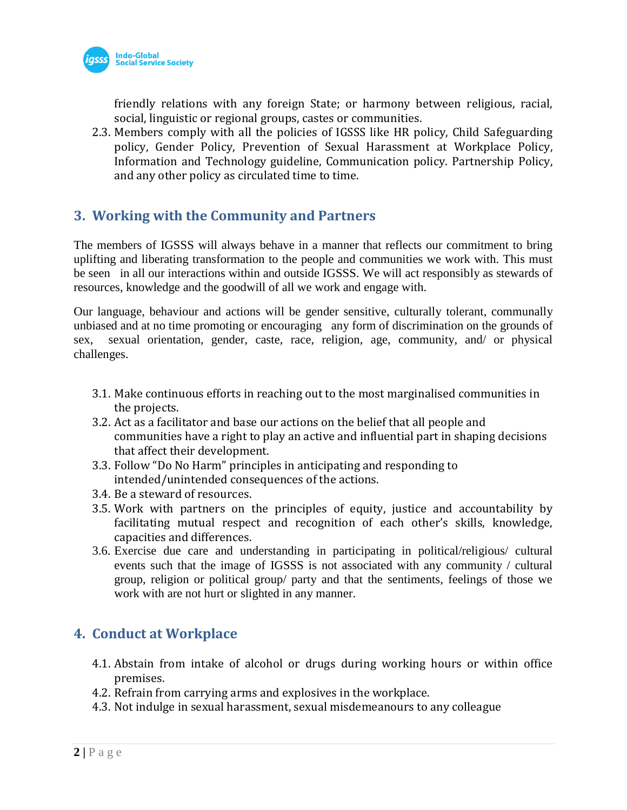

friendly relations with any foreign State; or harmony between religious, racial, social, linguistic or regional groups, castes or communities.

2.3. Members comply with all the policies of IGSSS like HR policy, Child Safeguarding policy, Gender Policy, Prevention of Sexual Harassment at Workplace Policy, Information and Technology guideline, Communication policy. Partnership Policy, and any other policy as circulated time to time.

## **3. Working with the Community and Partners**

The members of IGSSS will always behave in a manner that reflects our commitment to bring uplifting and liberating transformation to the people and communities we work with. This must be seen in all our interactions within and outside IGSSS. We will act responsibly as stewards of resources, knowledge and the goodwill of all we work and engage with.

Our language, behaviour and actions will be gender sensitive, culturally tolerant, communally unbiased and at no time promoting or encouraging any form of discrimination on the grounds of sex, sexual orientation, gender, caste, race, religion, age, community, and/ or physical challenges.

- 3.1. Make continuous efforts in reaching out to the most marginalised communities in the projects.
- 3.2. Act as a facilitator and base our actions on the belief that all people and communities have a right to play an active and influential part in shaping decisions that affect their development.
- 3.3. Follow "Do No Harm" principles in anticipating and responding to intended/unintended consequences of the actions.
- 3.4. Be a steward of resources.
- 3.5. Work with partners on the principles of equity, justice and accountability by facilitating mutual respect and recognition of each other's skills, knowledge, capacities and differences.
- 3.6. Exercise due care and understanding in participating in political/religious/ cultural events such that the image of IGSSS is not associated with any community / cultural group, religion or political group/ party and that the sentiments, feelings of those we work with are not hurt or slighted in any manner.

# **4. Conduct at Workplace**

- 4.1. Abstain from intake of alcohol or drugs during working hours or within office premises.
- 4.2. Refrain from carrying arms and explosives in the workplace.
- 4.3. Not indulge in sexual harassment, sexual misdemeanours to any colleague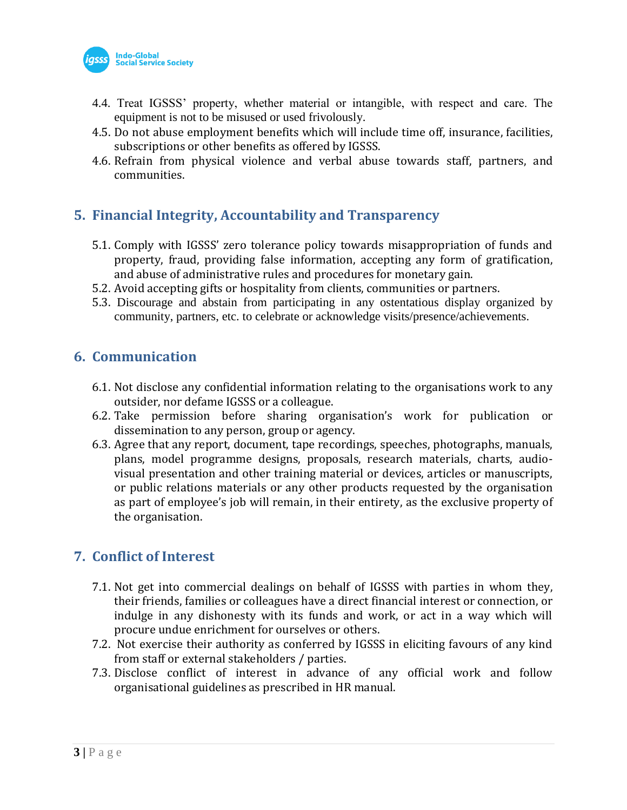

- 4.4. Treat IGSSS' property, whether material or intangible, with respect and care. The equipment is not to be misused or used frivolously.
- 4.5. Do not abuse employment benefits which will include time off, insurance, facilities, subscriptions or other benefits as offered by IGSSS.
- 4.6. Refrain from physical violence and verbal abuse towards staff, partners, and communities.

# **5. Financial Integrity, Accountability and Transparency**

- 5.1. Comply with IGSSS' zero tolerance policy towards misappropriation of funds and property, fraud, providing false information, accepting any form of gratification, and abuse of administrative rules and procedures for monetary gain.
- 5.2. Avoid accepting gifts or hospitality from clients, communities or partners.
- 5.3. Discourage and abstain from participating in any ostentatious display organized by community, partners, etc. to celebrate or acknowledge visits/presence/achievements.

### **6. Communication**

- 6.1. Not disclose any confidential information relating to the organisations work to any outsider, nor defame IGSSS or a colleague.
- 6.2. Take permission before sharing organisation's work for publication or dissemination to any person, group or agency.
- 6.3. Agree that any report, document, tape recordings, speeches, photographs, manuals, plans, model programme designs, proposals, research materials, charts, audiovisual presentation and other training material or devices, articles or manuscripts, or public relations materials or any other products requested by the organisation as part of employee's job will remain, in their entirety, as the exclusive property of the organisation.

## **7. Conflict of Interest**

- 7.1. Not get into commercial dealings on behalf of IGSSS with parties in whom they, their friends, families or colleagues have a direct financial interest or connection, or indulge in any dishonesty with its funds and work, or act in a way which will procure undue enrichment for ourselves or others.
- 7.2. Not exercise their authority as conferred by IGSSS in eliciting favours of any kind from staff or external stakeholders / parties.
- 7.3. Disclose conflict of interest in advance of any official work and follow organisational guidelines as prescribed in HR manual.